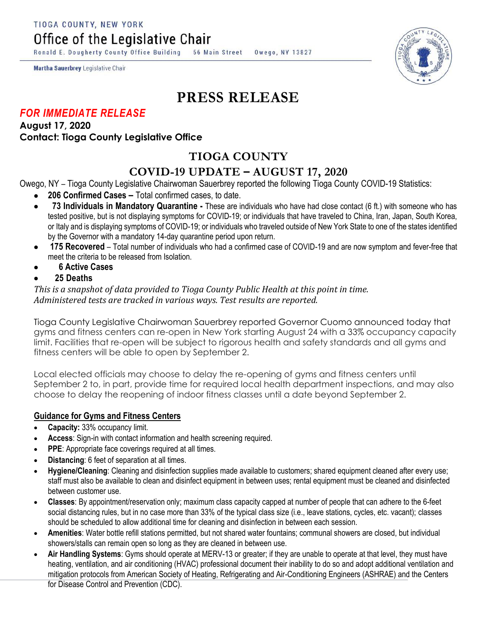TIOGA COUNTY, NEW YORK

Office of the Legislative Chair

Ronald E. Dougherty County Office Building 56 Main Street Owego, NY 13827

Martha Sauerbrey Legislative Chair

# **PRESS RELEASE**

## *FOR IMMEDIATE RELEASE*

### **August 17, 2020 Contact: Tioga County Legislative Office**

## **TIOGA COUNTY**

## **COVID-19 UPDATE – AUGUST 17, 2020**

Owego, NY – Tioga County Legislative Chairwoman Sauerbrey reported the following Tioga County COVID-19 Statistics:

- **206 Confirmed Cases –** Total confirmed cases, to date.
- **73 Individuals in Mandatory Quarantine -** These are individuals who have had close contact (6 ft.) with someone who has tested positive, but is not displaying symptoms for COVID-19; or individuals that have traveled to China, Iran, Japan, South Korea, or Italy and is displaying symptoms of COVID-19; or individuals who traveled outside of New York State to one of the states identified by the Governor with a mandatory 14-day quarantine period upon return.
- **175 Recovered**  Total number of individuals who had a confirmed case of COVID-19 and are now symptom and fever-free that meet the criteria to be released from Isolation.
- **6 Active Cases**
- **25 Deaths**

*This is a snapshot of data provided to Tioga County Public Health at this point in time. Administered tests are tracked in various ways. Test results are reported.*

Tioga County Legislative Chairwoman Sauerbrey reported Governor Cuomo announced today that gyms and fitness centers can re-open in New York starting August 24 with a 33% occupancy capacity limit. Facilities that re-open will be subject to rigorous health and safety standards and all gyms and fitness centers will be able to open by September 2.

Local elected officials may choose to delay the re-opening of gyms and fitness centers until September 2 to, in part, provide time for required local health department inspections, and may also choose to delay the reopening of indoor fitness classes until a date beyond September 2.

### **Guidance for Gyms and Fitness Centers**

- **Capacity:** 33% occupancy limit.
- **Access**: Sign-in with contact information and health screening required.
- **PPE:** Appropriate face coverings required at all times.
- **Distancing**: 6 feet of separation at all times.
- **Hygiene/Cleaning**: Cleaning and disinfection supplies made available to customers; shared equipment cleaned after every use; staff must also be available to clean and disinfect equipment in between uses; rental equipment must be cleaned and disinfected between customer use.
- **Classes**: By appointment/reservation only; maximum class capacity capped at number of people that can adhere to the 6-feet social distancing rules, but in no case more than 33% of the typical class size (i.e., leave stations, cycles, etc. vacant); classes should be scheduled to allow additional time for cleaning and disinfection in between each session.
- **Amenities**: Water bottle refill stations permitted, but not shared water fountains; communal showers are closed, but individual showers/stalls can remain open so long as they are cleaned in between use.
- **Air Handling Systems**: Gyms should operate at MERV-13 or greater; if they are unable to operate at that level, they must have heating, ventilation, and air conditioning (HVAC) professional document their inability to do so and adopt additional ventilation and mitigation protocols from American Society of Heating, Refrigerating and Air-Conditioning Engineers (ASHRAE) and the Centers for Disease Control and Prevention (CDC).